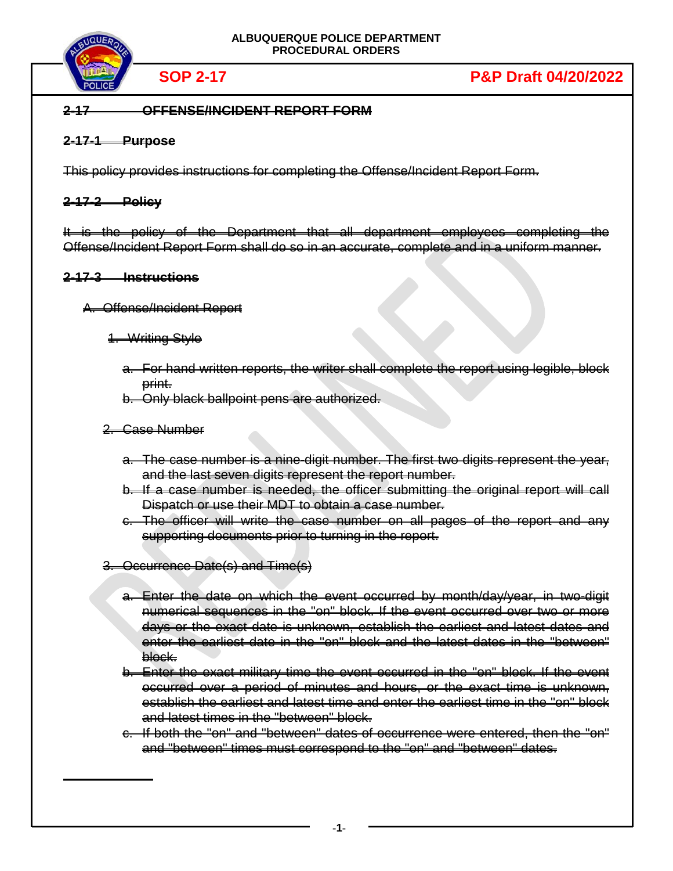

# **2-17 OFFENSE/INCIDENT REPORT FORM**

# **2-17-1 Purpose**

This policy provides instructions for completing the Offense/Incident Report Form.

# **2-17-2 Policy**

It is the policy of the Department that all department employees completing the Offense/Incident Report Form shall do so in an accurate, complete and in a uniform manner.

# **2-17-3 Instructions**

# A. Offense/Incident Report

- 1. Writing Style
	- a. For hand written reports, the writer shall complete the report using legible, block print.
	- b. Only black ballpoint pens are authorized.

# 2. Case Number

- a. The case number is a nine-digit number. The first two digits represent the year, and the last seven digits represent the report number.
- b. If a case number is needed, the officer submitting the original report will call Dispatch or use their MDT to obtain a case number.
- c. The officer will write the case number on all pages of the report and any supporting documents prior to turning in the report.
- 3. Occurrence Date(s) and Time(s)
	- a. Enter the date on which the event occurred by month/day/year, in two-digit numerical sequences in the "on" block. If the event occurred over two or more days or the exact date is unknown, establish the earliest and latest dates and enter the earliest date in the "on" block and the latest dates in the "between" block.
	- b. Enter the exact military time the event occurred in the "on" block. If the event occurred over a period of minutes and hours, or the exact time is unknown, establish the earliest and latest time and enter the earliest time in the "on" block and latest times in the "between" block.
	- c. If both the "on" and "between" dates of occurrence were entered, then the "on" and "between" times must correspond to the "on" and "between" dates.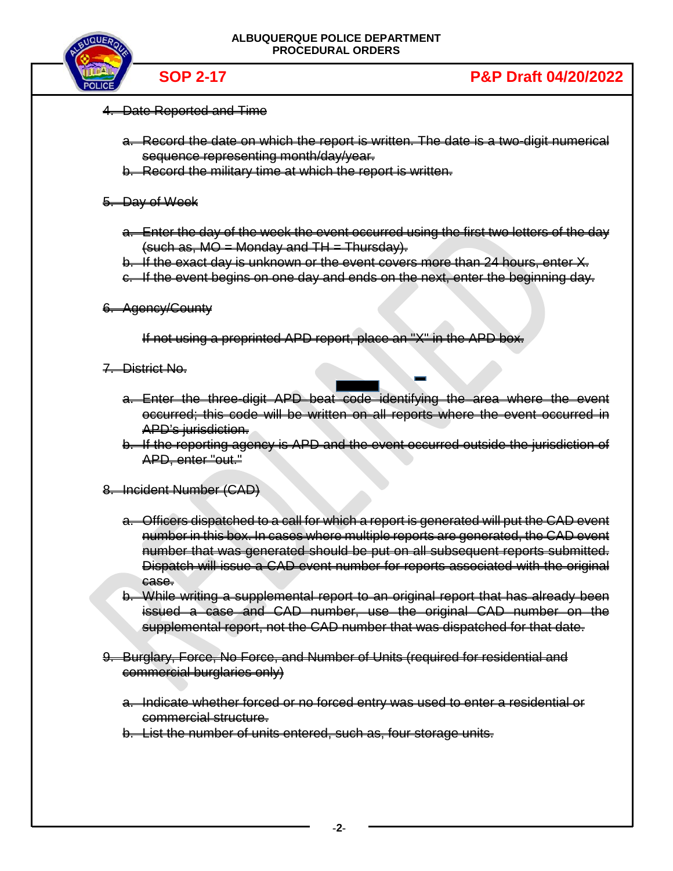

- 4. Date Reported and Time
	- a. Record the date on which the report is written. The date is a two-digit numerical sequence representing month/day/year.
	- b. Record the military time at which the report is written.
- 5. Day of Week
	- a. Enter the day of the week the event occurred using the first two letters of the day  $(such as, MO = Monday and TH = Thursday).$
	- b. If the exact day is unknown or the event covers more than 24 hours, enter X.
	- c. If the event begins on one day and ends on the next, enter the beginning day.
- 6. Agency/County

If not using a preprinted APD report, place an "X" in the APD box.

- 7. District No.
	- a. Enter the three-digit APD beat code identifying the area where the event occurred; this code will be written on all reports where the event occurred in APD's jurisdiction.
	- b. If the reporting agency is APD and the event occurred outside the jurisdiction of APD, enter "out."
- 8. Incident Number (CAD)
	- a. Officers dispatched to a call for which a report is generated will put the CAD event number in this box. In cases where multiple reports are generated, the CAD event number that was generated should be put on all subsequent reports submitted. Dispatch will issue a CAD event number for reports associated with the original ease.
	- b. While writing a supplemental report to an original report that has already been issued a case and CAD number, use the original CAD number on the supplemental report, not the CAD number that was dispatched for that date.
- 9. Burglary, Force, No Force, and Number of Units (required for residential and commercial burglaries only)
	- a. Indicate whether forced or no forced entry was used to enter a residential or commercial structure.

b. List the number of units entered, such as, four storage units.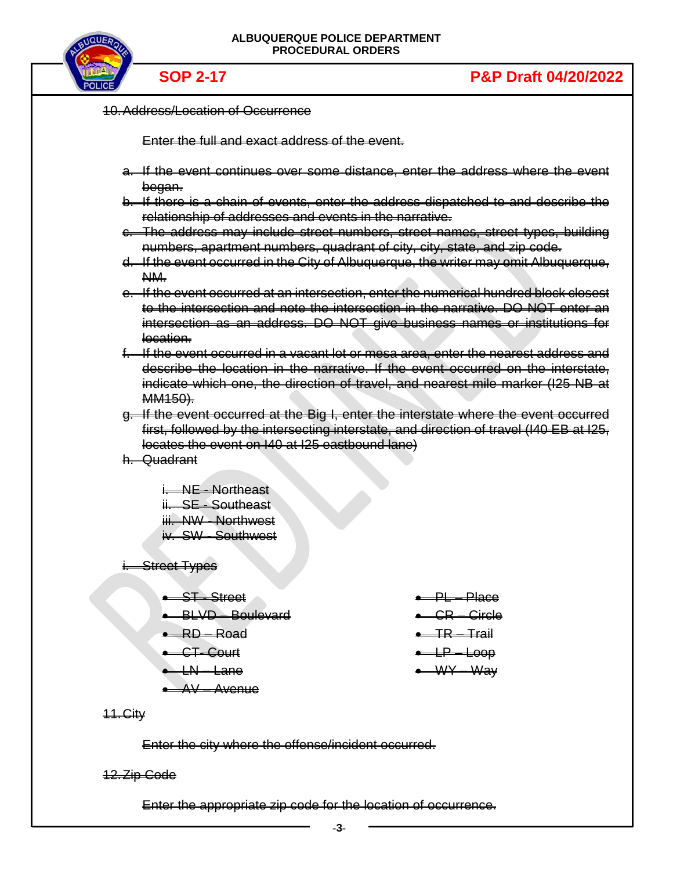

| <b>PULICE,</b>                                      |                                                                          |                                                                                         |
|-----------------------------------------------------|--------------------------------------------------------------------------|-----------------------------------------------------------------------------------------|
| <b>10. Address/Location of Occurrence</b>           |                                                                          |                                                                                         |
|                                                     | Enter the full and exact address of the event.                           |                                                                                         |
|                                                     |                                                                          | a. If the event continues over some distance, enter the address where the event         |
| <del>began.</del>                                   |                                                                          | b. If there is a chain of events, enter the address dispatched to and describe the      |
|                                                     | relationship of addresses and events in the narrative.                   |                                                                                         |
|                                                     |                                                                          | e. The address may include street numbers, street names, street types, building         |
|                                                     | numbers, apartment numbers, quadrant of city, city, state, and zip code. |                                                                                         |
| NM-                                                 |                                                                          | d. If the event occurred in the City of Albuquerque, the writer may omit Albuquerque,   |
|                                                     |                                                                          | e. If the event occurred at an intersection, enter the numerical hundred block closest  |
|                                                     |                                                                          | to the intersection and note the intersection in the narrative. DO NOT enter an         |
| location.                                           |                                                                          | intersection as an address. DO NOT give business names or institutions for              |
|                                                     |                                                                          | f. If the event eccurred in a vacant let or mesa area, enter the nearest address and    |
|                                                     |                                                                          | describe the location in the narrative. If the event occurred on the interstate,        |
| MM <sub>150</sub> ).                                |                                                                          | indicate which one, the direction of travel, and nearest mile marker (125 NB at         |
|                                                     |                                                                          | g. If the event occurred at the Big I, enter the interstate where the event occurred    |
|                                                     |                                                                          | first, followed by the intersecting interstate, and direction of travel (I40 EB at I25, |
|                                                     | locates the event on I40 at I25 eastbound lane)                          |                                                                                         |
| h. Quadrant                                         |                                                                          |                                                                                         |
| i NE Northoast                                      |                                                                          |                                                                                         |
| ii. SE Southeast                                    |                                                                          |                                                                                         |
| <b>iii. NW - Northwest</b>                          |                                                                          |                                                                                         |
| iv. SW - Southwest                                  |                                                                          |                                                                                         |
| <del>i. Street Types</del>                          |                                                                          |                                                                                         |
| <del>- ST Street</del>                              |                                                                          | <del>• PL Place</del>                                                                   |
| <b>BLVD</b> Boulevard                               |                                                                          | • GR-Girele                                                                             |
| RD Road                                             |                                                                          | $-$ TR $-$ Trail                                                                        |
| <del>- CT-Court</del>                               |                                                                          | $-12-1000$                                                                              |
| $-\mu + \mu$                                        |                                                                          | ← WY Way                                                                                |
| $\rightarrow$ $AV - A$ venue                        |                                                                          |                                                                                         |
| 44.Gity                                             |                                                                          |                                                                                         |
| Enter the city where the offense/incident occurred. |                                                                          |                                                                                         |
| <del>12. Zip Gode</del>                             |                                                                          |                                                                                         |
|                                                     | Enter the appropriate zip code for the location of occurrence.           |                                                                                         |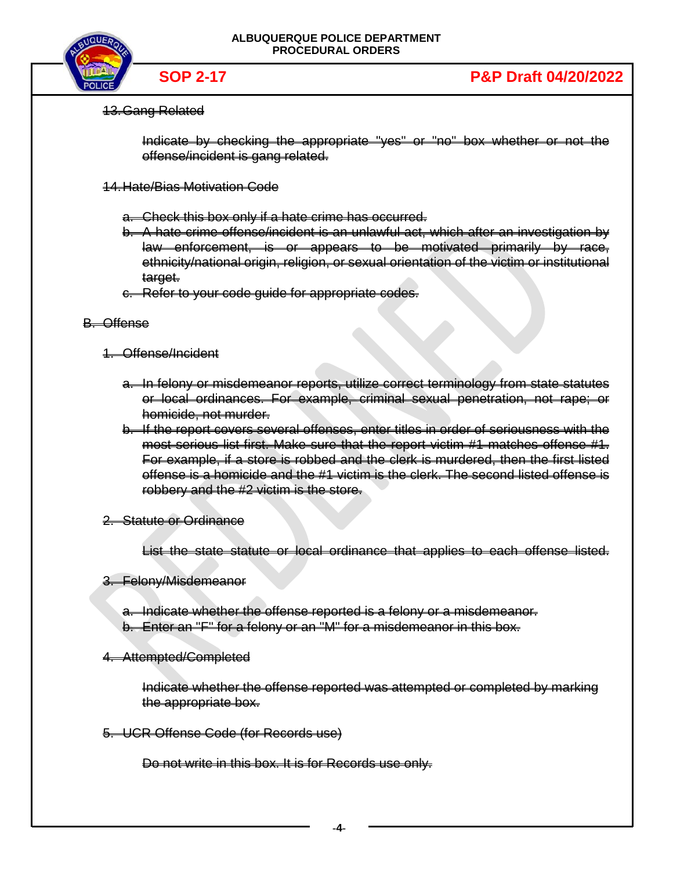

# 13.Gang Related

Indicate by checking the appropriate "yes" or "no" box whether or not the offense/incident is gang related.

# 14.Hate/Bias Motivation Code

a. Check this box only if a hate crime has occurred.

- b. A hate crime offense/incident is an unlawful act, which after an investigation by law enforcement, is or appears to be motivated primarily by race, ethnicity/national origin, religion, or sexual orientation of the victim or institutional target.
- c. Refer to your code guide for appropriate codes.

# B. Offense

- 1. Offense/Incident
	- a. In felony or misdemeanor reports, utilize correct terminology from state statutes or local ordinances. For example, criminal sexual penetration, not rape; or homicide, not murder.
	- b. If the report covers several offenses, enter titles in order of seriousness with the most serious list first. Make sure that the report victim #1 matches offense #1. For example, if a store is robbed and the clerk is murdered, then the first listed offense is a homicide and the #1 victim is the clerk. The second listed offense is robbery and the #2 victim is the store.
- 2. Statute or Ordinance

List the state statute or local ordinance that applies to each offense listed.

# 3. Felony/Misdemeanor

a. Indicate whether the offense reported is a felony or a misdemeanor.

b. Enter an "F" for a felony or an "M" for a misdemeanor in this box.

# 4. Attempted/Completed

Indicate whether the offense reported was attempted or completed by marking the appropriate box.

5. UCR Offense Code (for Records use)

Do not write in this box. It is for Records use only.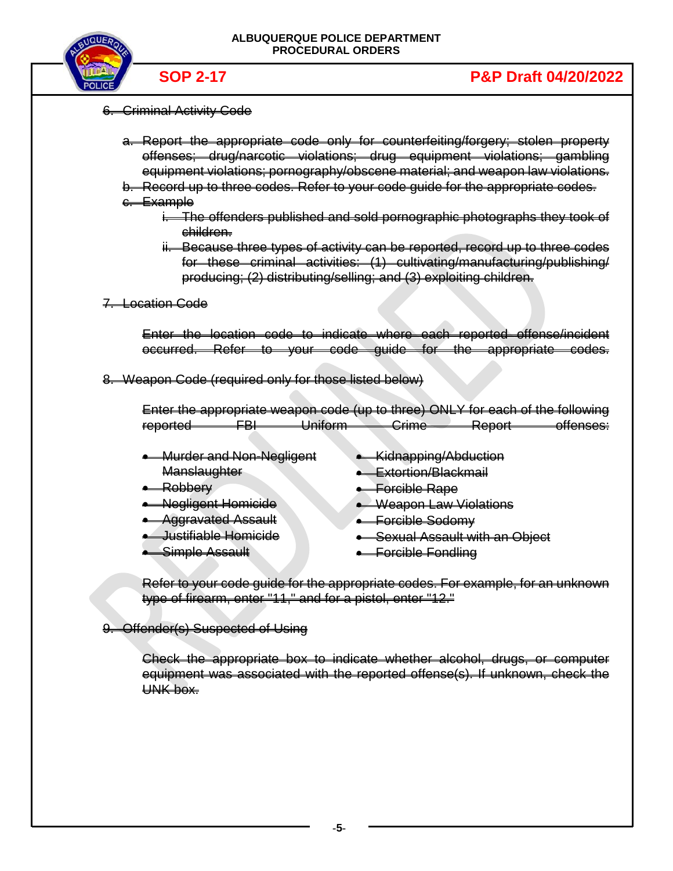

# 6. Criminal Activity Code

- a. Report the appropriate code only for counterfeiting/forgery; stolen property offenses; drug/narcotic violations; drug equipment violations; gambling equipment violations; pornography/obscene material; and weapon law violations.
- b. Record up to three codes. Refer to your code guide for the appropriate codes.
- c. Example
	- i. The offenders published and sold pornographic photographs they took of children.
	- ii. Because three types of activity can be reported, record up to three codes for these criminal activities: (1) cultivating/manufacturing/publishing/ producing; (2) distributing/selling; and (3) exploiting children.
- 7. Location Code

Enter the location code to indicate where each reported offense/incident occurred. Refer to your code guide for the appropriate codes.

8. Weapon Code (required only for those listed below)

Enter the appropriate weapon code (up to three) ONLY for each of the following reported FBI Uniform Crime Report offenses:

- Murder and Non-Negligent **Manslaughter**
- Robbery
- Negligent Homicide
- Aggravated Assault
- Justifiable Homicide
- Simple Assault
- Kidnapping/Abduction
- Extortion/Blackmail
- Forcible Rape
- Weapon Law Violations
- Forcible Sodomy
- Sexual Assault with an Object
- Forcible Fondling

Refer to your code guide for the appropriate codes. For example, for an unknown type of firearm, enter "11," and for a pistol, enter "12."

9. Offender(s) Suspected of Using

Check the appropriate box to indicate whether alcohol, drugs, or computer equipment was associated with the reported offense(s). If unknown, check the UNK box.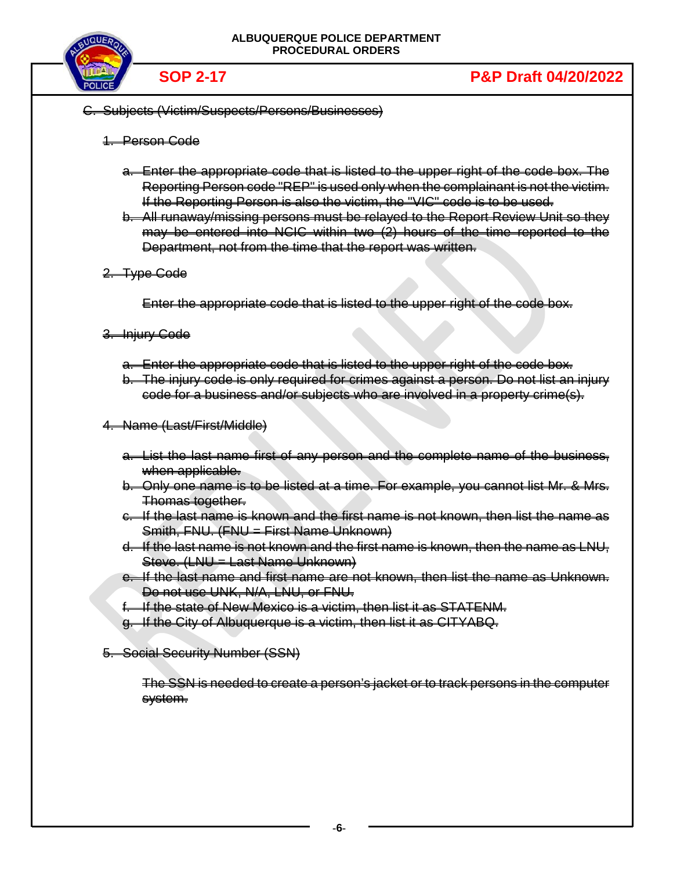

- C. Subjects (Victim/Suspects/Persons/Businesses)
	- 1. Person Code
		- a. Enter the appropriate code that is listed to the upper right of the code box. The Reporting Person code "REP" is used only when the complainant is not the victim. If the Reporting Person is also the victim, the "VIC" code is to be used.
		- b. All runaway/missing persons must be relayed to the Report Review Unit so they may be entered into NCIC within two (2) hours of the time reported to the Department, not from the time that the report was written.
	- 2. Type Code

Enter the appropriate code that is listed to the upper right of the code box.

- 3. Injury Code
	- a. Enter the appropriate code that is listed to the upper right of the code box.
	- b. The injury code is only required for crimes against a person. Do not list an injury code for a business and/or subjects who are involved in a property crime(s).
- 4. Name (Last/First/Middle)
	- a. List the last name first of any person and the complete name of the business, when applicable.
	- b. Only one name is to be listed at a time. For example, you cannot list Mr. & Mrs. Thomas together.
	- c. If the last name is known and the first name is not known, then list the name as Smith, FNU. (FNU = First Name Unknown)
	- d. If the last name is not known and the first name is known, then the name as LNU, Steve. (LNU = Last Name Unknown)
	- e. If the last name and first name are not known, then list the name as Unknown. Do not use UNK, N/A, LNU, or FNU.
	- f. If the state of New Mexico is a victim, then list it as STATENM.
	- g. If the City of Albuquerque is a victim, then list it as CITYABQ.
- 5. Social Security Number (SSN)

The SSN is needed to create a person's jacket or to track persons in the computer system.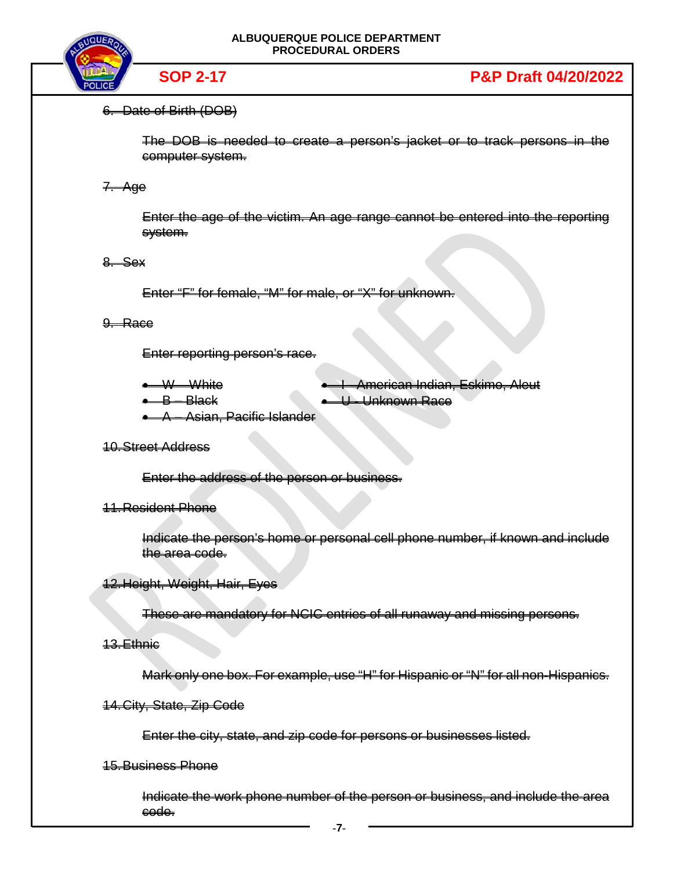

# 6. Date of Birth (DOB)

The DOB is needed to create a person's jacket or to track persons in the computer system.

# 7. Age

Enter the age of the victim. An age range cannot be entered into the reporting system.

# $8. S$ ex

Enter "F" for female, "M" for male, or "X" for unknown.

# 9. Race

Enter reporting person's race.

- W White
- $\leftarrow$  B Black

American Indian, Eskimo, Aleut • U - Unknown Race

• A – Asian, Pacific Islander

# 10.Street Address

Enter the address of the person or business.

# 11.Resident Phone

Indicate the person's home or personal cell phone number, if known and include the area code.

# 12.Height, Weight, Hair, Eyes

These are mandatory for NCIC entries of all runaway and missing persons.

### 13.Ethnic

Mark only one box. For example, use "H" for Hispanic or "N" for all non-Hispanics.

# 14.City, State, Zip Code

Enter the city, state, and zip code for persons or businesses listed.

# 15.Business Phone

Indicate the work phone number of the person or business, and include the area code.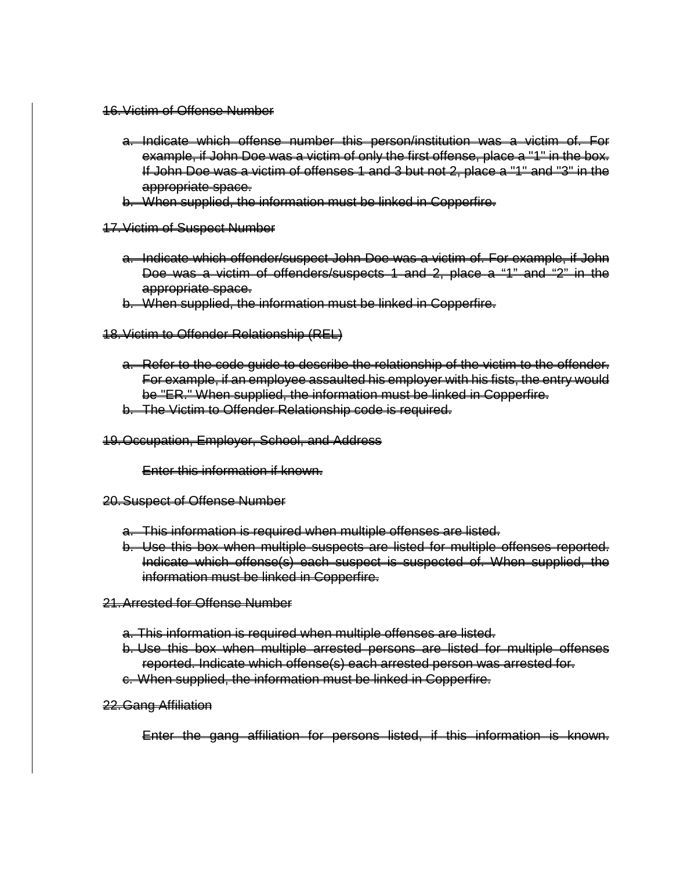- 16.Victim of Offense Number
	- a. Indicate which offense number this person/institution was a victim of. For example, if John Doe was a victim of only the first offense, place a "1" in the box. If John Doe was a victim of offenses 1 and 3 but not 2, place a "1" and "3" in the appropriate space.
	- b. When supplied, the information must be linked in Copperfire.
- 17.Victim of Suspect Number
	- a. Indicate which offender/suspect John Doe was a victim of. For example, if John Doe was a victim of offenders/suspects 1 and 2, place a "1" and "2" in the appropriate space.
	- b. When supplied, the information must be linked in Copperfire.
- 18.Victim to Offender Relationship (REL)
	- a. Refer to the code guide to describe the relationship of the victim to the offender. For example, if an employee assaulted his employer with his fists, the entry would be "ER." When supplied, the information must be linked in Copperfire.
	- b. The Victim to Offender Relationship code is required.
- 19.Occupation, Employer, School, and Address

Enter this information if known.

- 20.Suspect of Offense Number
	- a. This information is required when multiple offenses are listed.
	- b. Use this box when multiple suspects are listed for multiple offenses reported. Indicate which offense(s) each suspect is suspected of. When supplied, the information must be linked in Copperfire.
- 21.Arrested for Offense Number
	- a. This information is required when multiple offenses are listed.
	- b. Use this box when multiple arrested persons are listed for multiple offenses reported. Indicate which offense(s) each arrested person was arrested for.
	- c. When supplied, the information must be linked in Copperfire.
- 22.Gang Affiliation

Enter the gang affiliation for persons listed, if this information is known.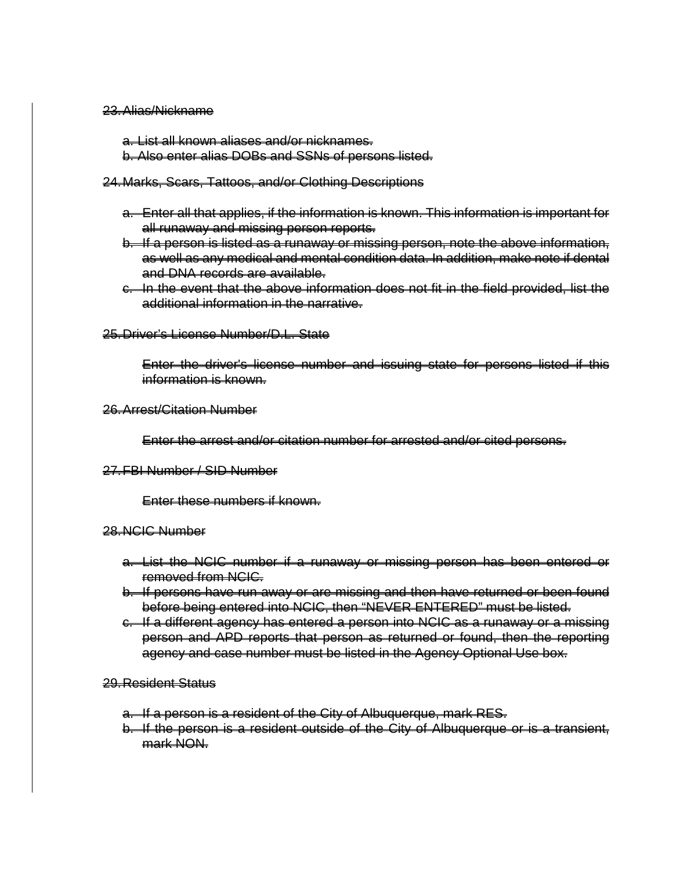#### 23.Alias/Nickname

a. List all known aliases and/or nicknames. b. Also enter alias DOBs and SSNs of persons listed.

#### 24.Marks, Scars, Tattoos, and/or Clothing Descriptions

- a. Enter all that applies, if the information is known. This information is important for all runaway and missing person reports.
- b. If a person is listed as a runaway or missing person, note the above information, as well as any medical and mental condition data. In addition, make note if dental and DNA records are available.
- c. In the event that the above information does not fit in the field provided, list the additional information in the narrative.

# 25.Driver's License Number/D.L. State

Enter the driver's license number and issuing state for persons listed if this information is known.

#### 26.Arrest/Citation Number

Enter the arrest and/or citation number for arrested and/or cited persons.

### 27.FBI Number / SID Number

Enter these numbers if known.

# 28.NCIC Number

- a. List the NCIC number if a runaway or missing person has been entered or removed from NCIC.
- b. If persons have run away or are missing and then have returned or been found before being entered into NCIC, then "NEVER ENTERED" must be listed.
- c. If a different agency has entered a person into NCIC as a runaway or a missing person and APD reports that person as returned or found, then the reporting agency and case number must be listed in the Agency Optional Use box.

# 29.Resident Status

- a. If a person is a resident of the City of Albuquerque, mark RES.
- b. If the person is a resident outside of the City of Albuquerque or is a transient, mark NON.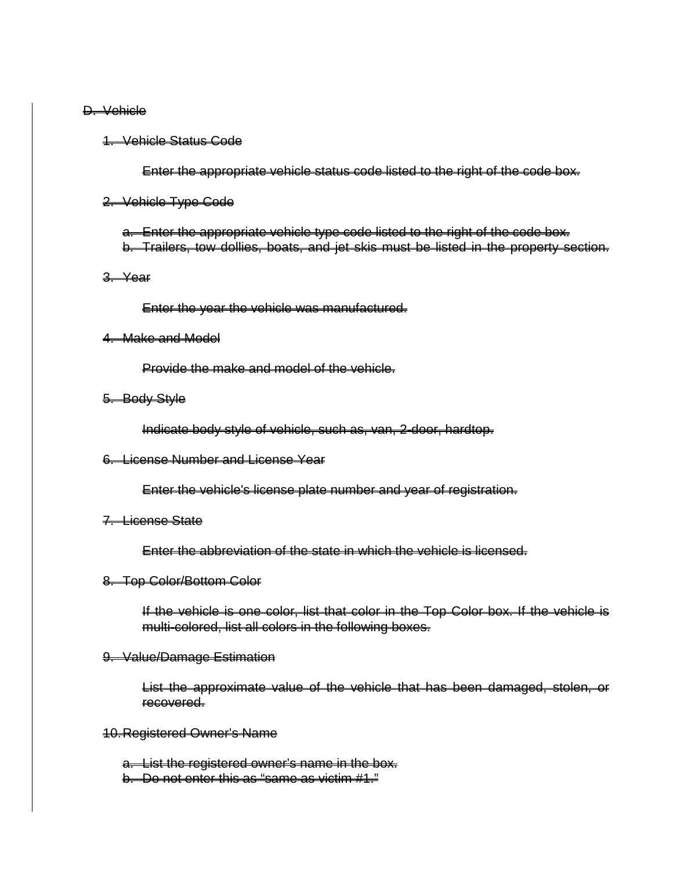#### D. Vehicle

#### 1. Vehicle Status Code

Enter the appropriate vehicle status code listed to the right of the code box.

#### 2. Vehicle Type Code

a. Enter the appropriate vehicle type code listed to the right of the code box. b. Trailers, tow dollies, boats, and jet skis must be listed in the property section.

#### 3. Year

Enter the year the vehicle was manufactured.

# 4. Make and Model

Provide the make and model of the vehicle.

#### 5. Body Style

Indicate body style of vehicle, such as, van, 2-door, hardtop.

# 6. License Number and License Year

Enter the vehicle's license plate number and year of registration.

#### 7. License State

Enter the abbreviation of the state in which the vehicle is licensed.

#### 8. Top Color/Bottom Color

If the vehicle is one color, list that color in the Top Color box. If the vehicle is multi-colored, list all colors in the following boxes.

#### 9. Value/Damage Estimation

List the approximate value of the vehicle that has been damaged, stolen, or recovered.

#### 10.Registered Owner's Name

a. List the registered owner's name in the box. b. Do not enter this as "same as victim #1."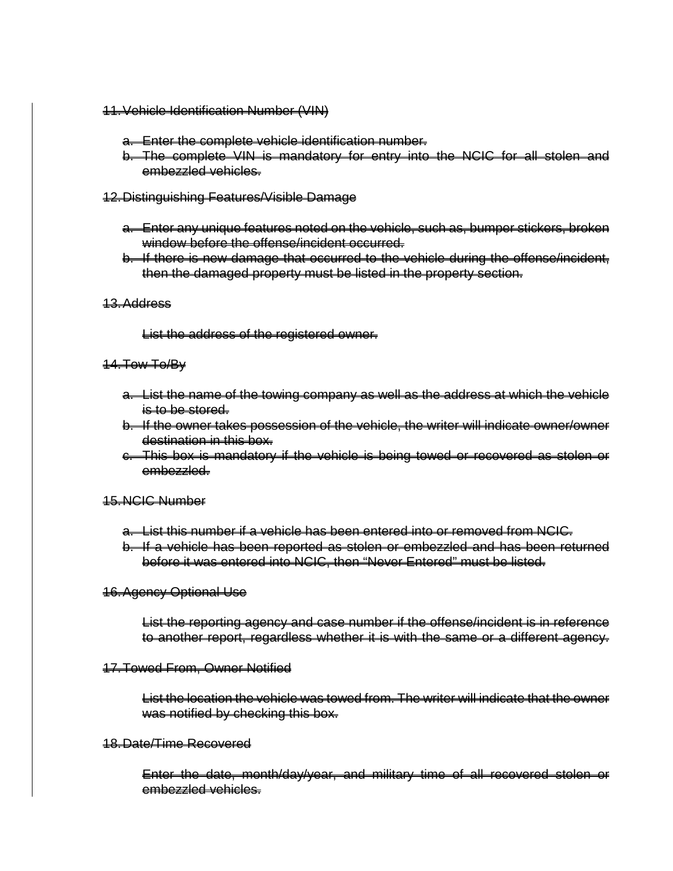- 11.Vehicle Identification Number (VIN)
	- a. Enter the complete vehicle identification number.
	- b. The complete VIN is mandatory for entry into the NCIC for all stolen and embezzled vehicles.
- 12.Distinguishing Features/Visible Damage
	- a. Enter any unique features noted on the vehicle, such as, bumper stickers, broken window before the offense/incident occurred.
	- b. If there is new damage that occurred to the vehicle during the offense/incident, then the damaged property must be listed in the property section.
- 13.Address

List the address of the registered owner.

# 14.Tow To/By

- a. List the name of the towing company as well as the address at which the vehicle is to be stored.
- b. If the owner takes possession of the vehicle, the writer will indicate owner/owner destination in this box.
- c. This box is mandatory if the vehicle is being towed or recovered as stolen or embezzled.

# 15.NCIC Number

- a. List this number if a vehicle has been entered into or removed from NCIC.
- b. If a vehicle has been reported as stolen or embezzled and has been returned before it was entered into NCIC, then "Never Entered" must be listed.

# 16.Agency Optional Use

List the reporting agency and case number if the offense/incident is in reference to another report, regardless whether it is with the same or a different agency.

### 17.Towed From, Owner Notified

List the location the vehicle was towed from. The writer will indicate that the owner was notified by checking this box.

## 18.Date/Time Recovered

Enter the date, month/day/year, and military time of all recovered stolen or embezzled vehicles.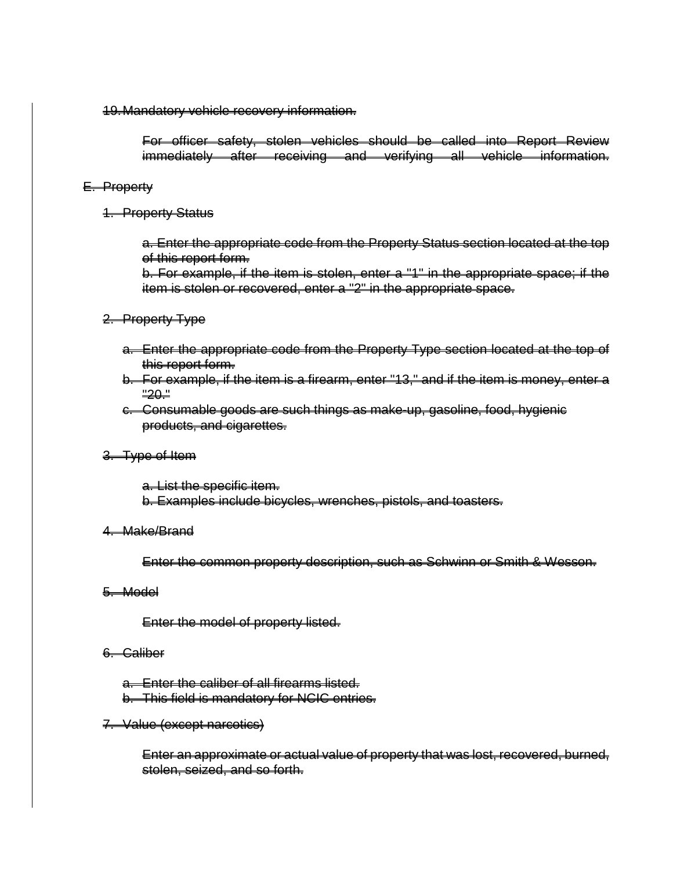19.Mandatory vehicle recovery information.

For officer safety, stolen vehicles should be called into Report Review immediately after receiving and verifying all vehicle information.

# E. Property

1. Property Status

a. Enter the appropriate code from the Property Status section located at the top of this report form.

b. For example, if the item is stolen, enter a "1" in the appropriate space; if the item is stolen or recovered, enter a "2" in the appropriate space.

# 2. Property Type

- a. Enter the appropriate code from the Property Type section located at the top of this report form.
- b. For example, if the item is a firearm, enter "13," and if the item is money, enter a "20."
- c. Consumable goods are such things as make-up, gasoline, food, hygienic products, and cigarettes.

# 3. Type of Item

a. List the specific item. b. Examples include bicycles, wrenches, pistols, and toasters.

### 4. Make/Brand

Enter the common property description, such as Schwinn or Smith & Wesson.

### 5. Model

Enter the model of property listed.

### 6. Caliber

- a. Enter the caliber of all firearms listed.
- b. This field is mandatory for NCIC entries.
- 7. Value (except narcotics)

Enter an approximate or actual value of property that was lost, recovered, burned, stolen, seized, and so forth.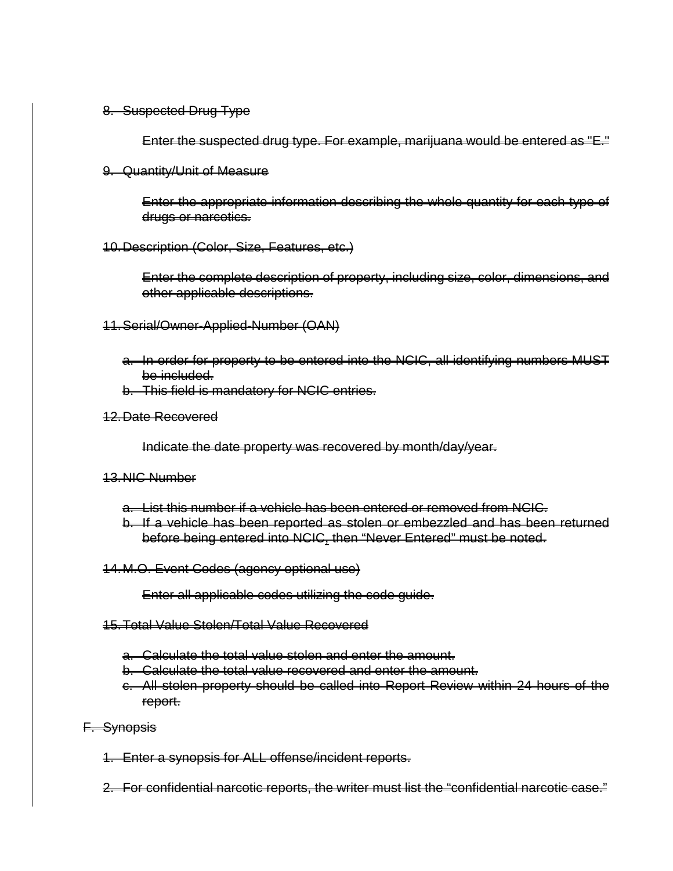# 8. Suspected Drug Type

Enter the suspected drug type. For example, marijuana would be entered as "E."

9. Quantity/Unit of Measure

Enter the appropriate information describing the whole quantity for each type of drugs or narcotics.

10.Description (Color, Size, Features, etc.)

Enter the complete description of property, including size, color, dimensions, and other applicable descriptions.

- 11.Serial/Owner-Applied-Number (OAN)
	- a. In order for property to be entered into the NCIC, all identifying numbers MUST be included.
	- b. This field is mandatory for NCIC entries.
- 12.Date Recovered

Indicate the date property was recovered by month/day/year.

### 13.NIC Number

- a. List this number if a vehicle has been entered or removed from NCIC.
- b. If a vehicle has been reported as stolen or embezzled and has been returned before being entered into NCIC, then "Never Entered" must be noted.
- 14.M.O. Event Codes (agency optional use)

Enter all applicable codes utilizing the code guide.

- 15.Total Value Stolen/Total Value Recovered
	- a. Calculate the total value stolen and enter the amount.
	- b. Calculate the total value recovered and enter the amount.
	- c. All stolen property should be called into Report Review within 24 hours of the report.
- F. Synopsis
	- 1. Enter a synopsis for ALL offense/incident reports.

2. For confidential narcotic reports, the writer must list the "confidential narcotic case."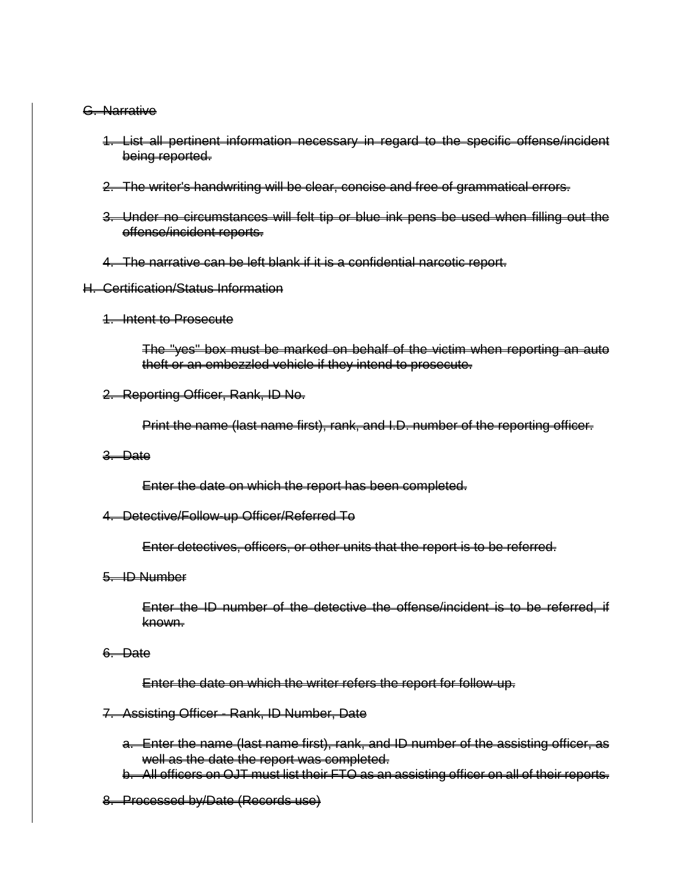# G. Narrative

- 1. List all pertinent information necessary in regard to the specific offense/incident being reported.
- 2. The writer's handwriting will be clear, concise and free of grammatical errors.
- 3. Under no circumstances will felt tip or blue ink pens be used when filling out the offense/incident reports.
- 4. The narrative can be left blank if it is a confidential narcotic report.
- H. Certification/Status Information
	- 1. Intent to Prosecute

The "yes" box must be marked on behalf of the victim when reporting an auto theft or an embezzled vehicle if they intend to prosecute.

2. Reporting Officer, Rank, ID No.

Print the name (last name first), rank, and I.D. number of the reporting officer.

3. Date

Enter the date on which the report has been completed.

# 4. Detective/Follow-up Officer/Referred To

Enter detectives, officers, or other units that the report is to be referred.

5. ID Number

Enter the ID number of the detective the offense/incident is to be referred, if known.

6. Date

Enter the date on which the writer refers the report for follow-up.

#### 7. Assisting Officer - Rank, ID Number, Date

- a. Enter the name (last name first), rank, and ID number of the assisting officer, as well as the date the report was completed.
- b. All officers on OJT must list their FTO as an assisting officer on all of their reports.
- 8. Processed by/Date (Records use)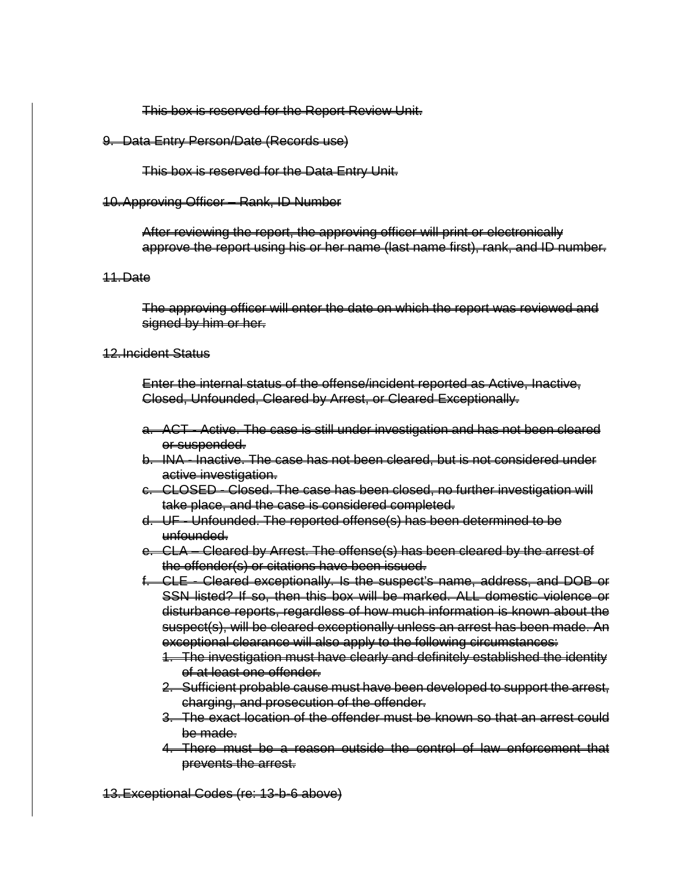# This box is reserved for the Report Review Unit.

# 9. Data Entry Person/Date (Records use)

This box is reserved for the Data Entry Unit.

# 10.Approving Officer – Rank, ID Number

After reviewing the report, the approving officer will print or electronically approve the report using his or her name (last name first), rank, and ID number.

### 11.Date

The approving officer will enter the date on which the report was reviewed and signed by him or her.

# 12.Incident Status

Enter the internal status of the offense/incident reported as Active, Inactive, Closed, Unfounded, Cleared by Arrest, or Cleared Exceptionally.

- a. ACT Active. The case is still under investigation and has not been cleared or suspended.
- b. INA Inactive. The case has not been cleared, but is not considered under active investigation.
- c. CLOSED Closed. The case has been closed, no further investigation will take place, and the case is considered completed.
- d. UF Unfounded. The reported offense(s) has been determined to be unfounded.
- e. CLA Cleared by Arrest. The offense(s) has been cleared by the arrest of the offender(s) or citations have been issued.
- f. CLE Cleared exceptionally. Is the suspect's name, address, and DOB or SSN listed? If so, then this box will be marked. ALL domestic violence or disturbance reports, regardless of how much information is known about the suspect(s), will be cleared exceptionally unless an arrest has been made. An exceptional clearance will also apply to the following circumstances:
	- 1. The investigation must have clearly and definitely established the identity of at least one offender.
	- 2. Sufficient probable cause must have been developed to support the arrest, charging, and prosecution of the offender.
	- 3. The exact location of the offender must be known so that an arrest could be made.
	- 4. There must be a reason outside the control of law enforcement that prevents the arrest.

13.Exceptional Codes (re: 13-b-6 above)